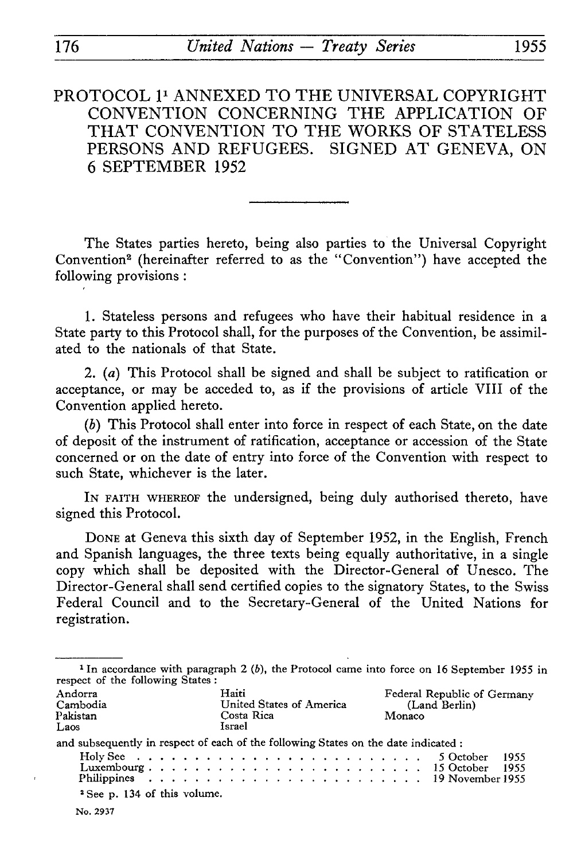PROTOCOL 1<sup>1</sup> ANNEXED TO THE UNIVERSAL COPYRIGHT CONVENTION CONCERNING THE APPLICATION OF THAT CONVENTION TO THE WORKS OF STATELESS PERSONS AND REFUGEES. SIGNED AT GENEVA, ON 6 SEPTEMBER 1952

The States parties hereto, being also parties to the Universal Copyright Convention<sup>2</sup> (hereinafter referred to as the "Convention") have accepted the following provisions :

1. Stateless persons and refugees who have their habitual residence in a State party to this Protocol shall, for the purposes of the Convention, be assimil ated to the nationals of that State.

2. *(a)* This Protocol shall be signed and shall be subject to ratification or acceptance, or may be acceded to, as if the provisions of article VIII of the Convention applied hereto.

*(b)* This Protocol shall enter into force in respect of each State, on the date of deposit of the instrument of ratification, acceptance or accession of the State concerned or on the date of entry into force of the Convention with respect to such State, whichever is the later.

IN FAITH WHEREOF the undersigned, being duly authorised thereto, have signed this Protocol.

DONE at Geneva this sixth day of September 1952, in the English, French and Spanish languages, the three texts being equally authoritative, in a single copy which shall be deposited with the Director-General of Unesco. The Director-General shall send certified copies to the signatory States, to the Swiss Federal Council and to the Secretary-General of the United Nations for registration.

| respect of the following States:                                                    |  |  |  |  |  |                                                           |  |  |  |  |  |  |  |  |  |  |  |  |  |                                                        |  |  | <sup>1</sup> In accordance with paragraph 2 (b), the Protocol came into force on 16 September 1955 in |  |
|-------------------------------------------------------------------------------------|--|--|--|--|--|-----------------------------------------------------------|--|--|--|--|--|--|--|--|--|--|--|--|--|--------------------------------------------------------|--|--|-------------------------------------------------------------------------------------------------------|--|
| Andorra<br>Cambodia<br>Pakistan<br>Laos                                             |  |  |  |  |  | Haiti<br>United States of America<br>Costa Rica<br>Israel |  |  |  |  |  |  |  |  |  |  |  |  |  | Federal Republic of Germany<br>(Land Berlin)<br>Monaco |  |  |                                                                                                       |  |
| and subsequently in respect of each of the following States on the date indicated : |  |  |  |  |  |                                                           |  |  |  |  |  |  |  |  |  |  |  |  |  |                                                        |  |  |                                                                                                       |  |
|                                                                                     |  |  |  |  |  |                                                           |  |  |  |  |  |  |  |  |  |  |  |  |  |                                                        |  |  | 1955<br>5 October<br>- 1955                                                                           |  |
|                                                                                     |  |  |  |  |  |                                                           |  |  |  |  |  |  |  |  |  |  |  |  |  |                                                        |  |  |                                                                                                       |  |
| <sup>2</sup> See p. 134 of this volume.                                             |  |  |  |  |  |                                                           |  |  |  |  |  |  |  |  |  |  |  |  |  |                                                        |  |  |                                                                                                       |  |
| No. 2937                                                                            |  |  |  |  |  |                                                           |  |  |  |  |  |  |  |  |  |  |  |  |  |                                                        |  |  |                                                                                                       |  |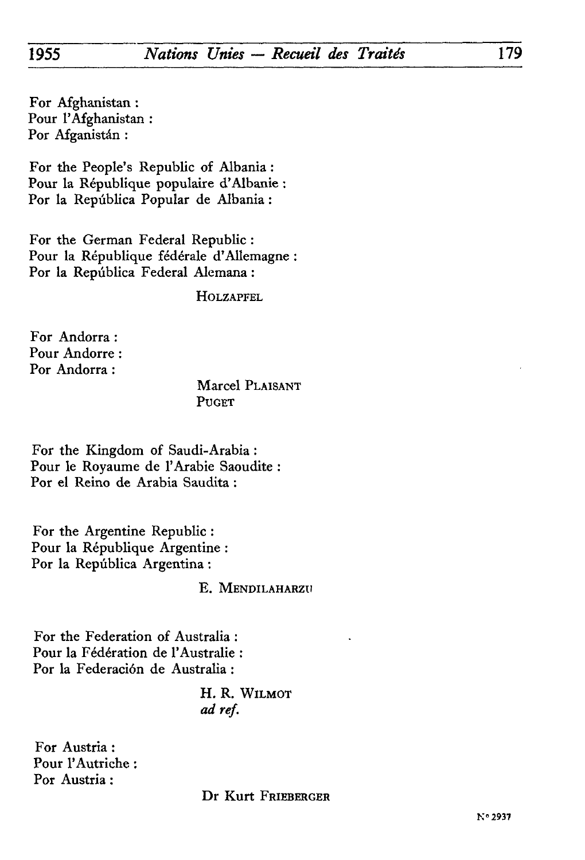For Afghanistan : Pour l'Afghanistan : Por Afganistàn :

For the People's Republic of Albania : Pour la République populaire d'Albanie : Por la Repûblica Popular de Albania :

For the German Federal Republic : Pour la République fédérale d'Allemagne : Por la Repûblica Federal Alemana :

**HOLZAPFEL** 

For Andorra : Pour Andorre : Por Andorra :

> Marcel PLAISANT PUGET

For the Kingdom of Saudi-Arabia : Pour le Royaume de l'Arabie Saoudite : Por el Reino de Arabia Saudita :

For thé Argentine Republic : Pour la République Argentine : Por la Repûblica Argentina :

### E. MENDILAHARZU

For the Federation of Australia : Pour la Fédération de l'Australie : Por la Federaciôn de Australia :

> H. R. WILMOT *ad réf.*

For Austria : Pour l'Autriche : Por Austria :

Dr Kurt FRIEBERGER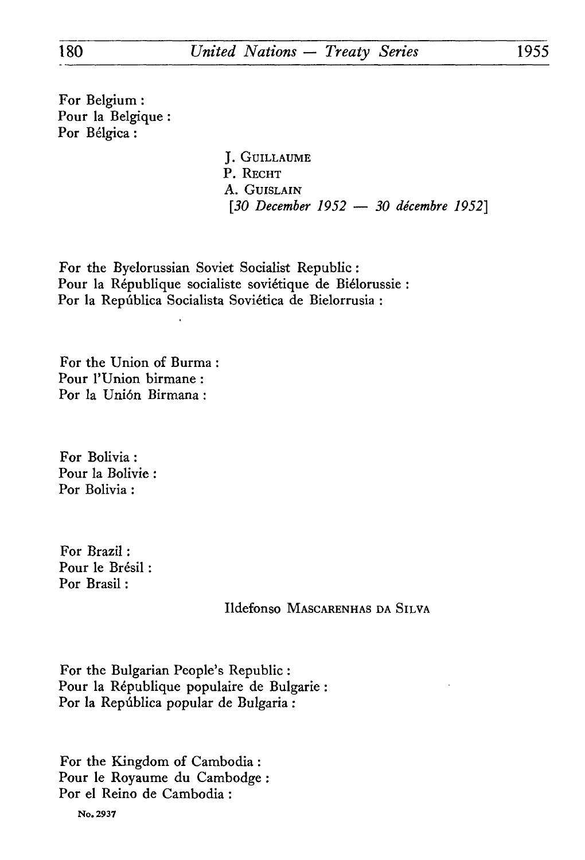For Belgium : Pour la Belgique : For Bélgica :

> J. GUILLAUME P. RECHT A. GUISLAIN *[30 December 1952 — 30 décembre 1952]*

For the Byelorussian Soviet Socialist Republic : Pour la République socialiste soviétique de Biélorussie : Por la Repûblica Socialista Soviética de Bielorrusia :

For thé Union of Burma Pour l'Union birmane : Por la Union Birmana :

For Bolivia : Pour la Bolivie : Por Bolivia :

For Brazil : Pour le Brésil : Por Brasil :

Ildefonso MASCARENHAS DA SILVA

For the Bulgarian People's Republic : Pour la République populaire de Bulgarie Por la Repûblica popular de Bulgaria :

For the Kingdom of Cambodia : Pour le Royaume du Cambodge : Por el Reino de Cambodia :

No. 2937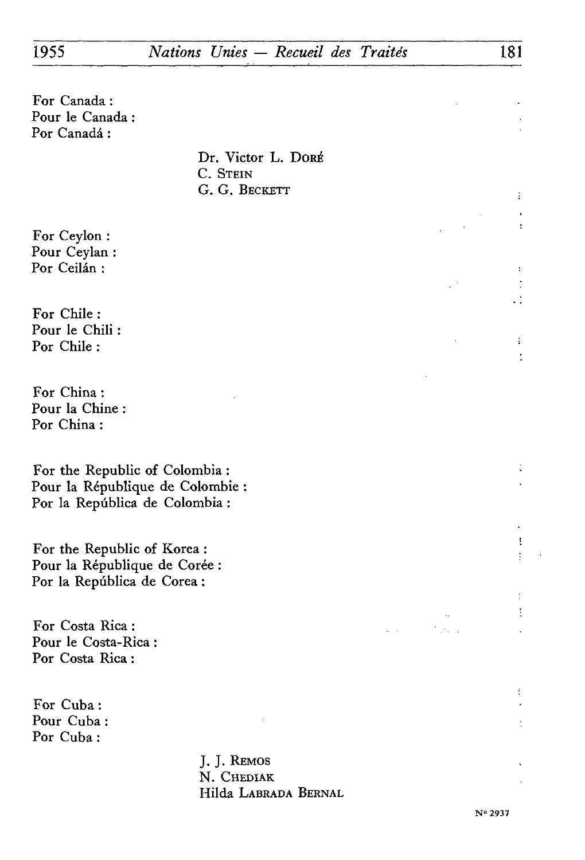For Canada : Pour le Canada : Por Canadá:

> Dr. Victor L. Doré C. STEIN G. G. BECKETT

For Ceylon : Pour Ceylan : Por Ceilân :

For Chile : Pour le Chili : Por Chile :

For China : Pour la Chine Por China :

For the Republic of Colombia : Pour la République de Colombie Por la Repûblica de Colombia :

For the Republic of Korea : Pour la République de Corée Por la Repûblica de Corea :

For Costa Rica : Pour le Costa-Rica : Por Costa Rica :

For Cuba : Pour Cuba : Por Cuba :

> J. J. REMOS N. CHEDIAK Hilda LABRADA BERNAL

÷  $\ddot{\phantom{a}}$ 

ŧ

t. ÷

> ŧ ŧ.

> ÷

 $\sim 10^{-1}$ t este

 $\mathcal{L}^{\pm}$  .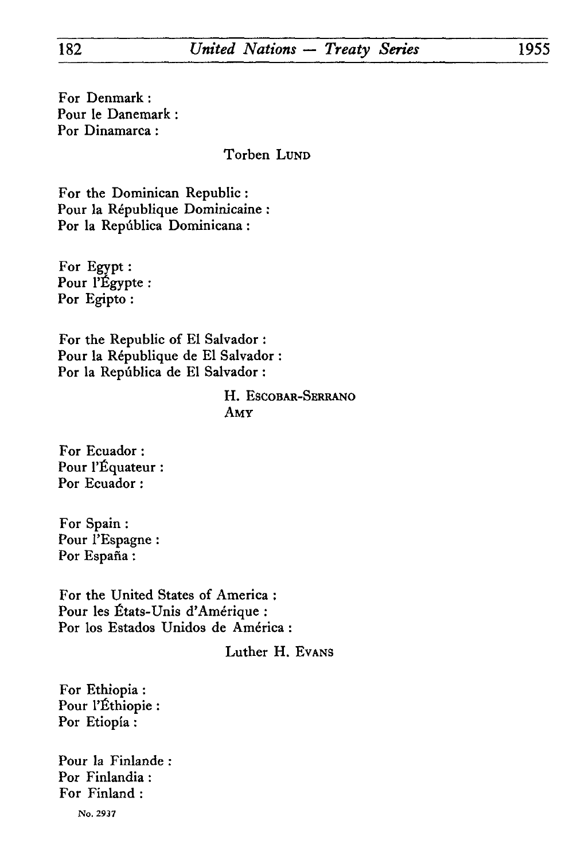For Denmark : Pour le Danemark : For Dinamarca :

Torben LUND

For the Dominican Republic : Pour la République Dominicaine : Por la República Dominicana :

For Egypt : Pour l'Egypte : Por Egipto :

For the Republic of El Salvador : Pour la République de El Salvador : Por la Repûblica de El Salvador :

## H. ESCOBAR-SERRANO AMY

For Ecuador : Pour l'Equateur : Por Ecuador :

For Spain : Pour l'Espagne : Por España :

For the United States of America : Pour les États-Unis d'Amérique : Por los Estados Unidos de América :

Luther H. EVANS

For Ethiopia : Pour l'Ethiopie : Por Etiopia :

Pour la Finlande Por Finlandia : For Finland :

**No. 2937**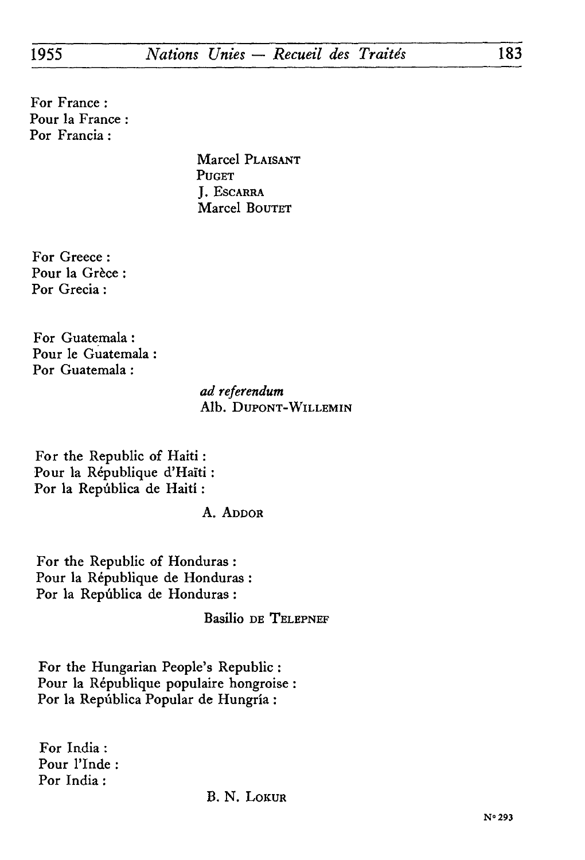For France : Pour la France : Por Francia :

> Marcel PLAISANT PUGET J. ESCARRA Marcel BOUTET

For Greece : Pour la Grèce Por Grecia :

For Guatemala : Pour le Guatemala : Por Guatemala :

> *ad referendum* Alb. DUPONT-WILLEMIN

For the Republic of Haiti : Pour la République d'Haïti : Por la Repûblica de Haiti :

A. ADDOR

For the Republic of Honduras : Pour la République de Honduras : Por la Repûblica de Honduras :

Basilio DE TELEPNEF

For the Hungarian People's Republic : Pour la République populaire hongroise Por la Repûblica Popular de Hungria :

For India : Pour l'Inde : Por India :

B. N. LOKUR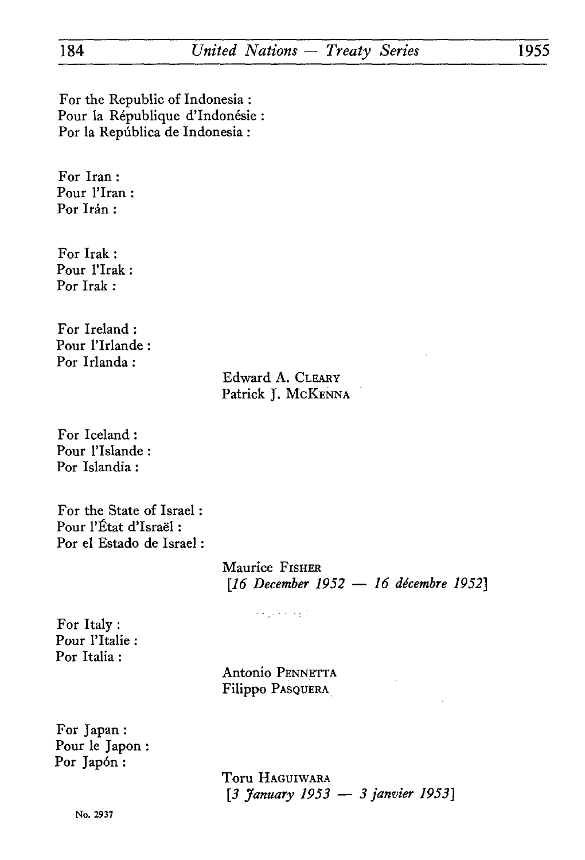For the Republic of Indonesia : Pour la République d'Indonésie : For la Repûblica de Indonesia :

For Iran : Pour l'Iran : Por Irán :

For Irak : Pour l'Irak : For Irak :

For Ireland : Pour l'Irlande : For Irlanda :

# Edward A. CLEARY Patrick J. McKENNA

For Iceland : Pour l'Islande : Por Islandia :

For the State of Israel : Pour l'État d'Israël : Por el Estado de Israel :

> Maurice FISHER *[16 December 1952 — 16 décembre 1952]*

> > كالوعاء المتواردة

For Italy : Pour l'Italie : Por Italia :

> Antonio PENNETTA Filippo PASQUERA

For Japan : Pour le Japon : Por Japón:

> Toru HAGUIWARA *[3 January 1953 — 3 janvier 1953]*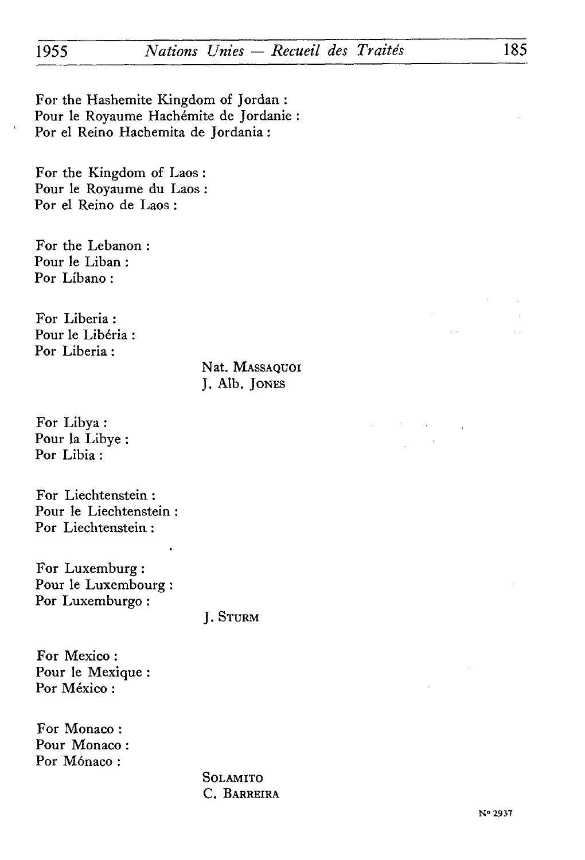For the Hashemite Kingdom of Jordan : Pour le Royaume Hachémite de Jordanie Por el Reino Hachemita de Jordania :

For the Kingdom of Laos : Pour le Royaume du Laos : Por el Reino de Laos :

For the Lebanon : Pour le Liban : Por Libano :

For Liberia : Pour le Libéria : Por Liberia :

> Nat. MASSAQUOI J. Alb. JONES

For Libya : Pour la Libye : Por Libia :

For Liechtenstein : Pour le Liechtenstein : Por Liechtenstein :

For Luxemburg : Pour le Luxembourg : Por Luxemburgo :

J. STURM

For Mexico : Pour le Mexique : Por México :

For Monaco : Pour Monaco : Por Mónaco:

> SOLAMITO C. BARREIRA

 $\mathcal{L}_{\mathcal{A}}$  .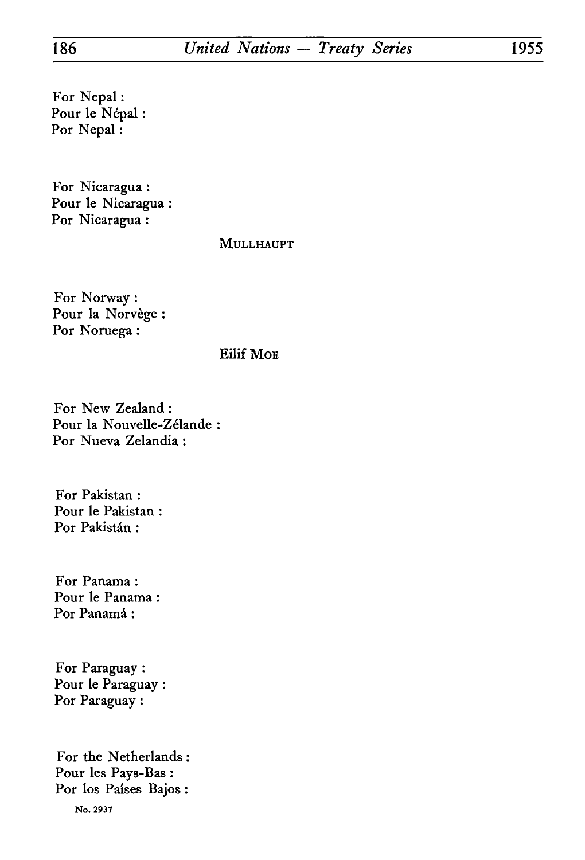For Nepal : Pour le Népal Por Nepal :

For Nicaragua : Pour le Nicaragua : Por Nicaragua :

# MULLHAUPT

For Norway : Pour la Norvège : Por Noruega :

## Eilif MOE

For New Zealand : Pour la Nouvelle-Zélande Por Nueva Zelandia :

For Pakistan : Pour le Pakistan Por Pakistán:

For Panama : Pour le Panama Por Panamá:

For Paraguay : Pour le Paraguay : Por Paraguay :

For the Netherlands : Pour les Pays-Bas : Por los Paises Bajos : No. 2937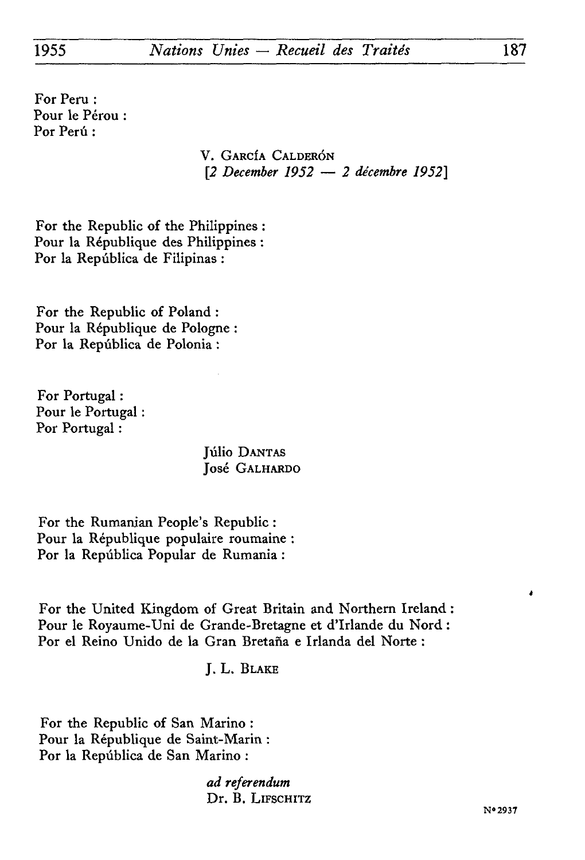For Peru : Pour le Pérou : Por Perú :

> V. GARCÎA CALDERÔN *[2 December 1952 — 2 décembre 1952]*

For the Republic of the Philippines : Pour la République des Philippines : Por la Repûblica de Filipinas :

For the Republic of Poland : Pour la République de Pologne : Por la Repûblica de Polonia :

For Portugal : Pour le Portugal : Por Portugal :

> Júlio DANTAS José GALHARDO

For the Rumanian People's Republic : Pour la République populaire roumaine : Por la Repûblica Popular de Rumania :

For thé United Kingdom of Great Britain and Northern Ireland : Pour le Royaume-Uni de Grande-Bretagne et d'Irlande du Nord : Por el Reino Unido de la Gran Bretana e Irlanda del Norte :

J. L. BLAKE

For the Republic of San Marino : Pour la République de Saint-Marin : Por la Repûblica de San Marino :

> *ad referendum*  Dr. B. LIFSCHITZ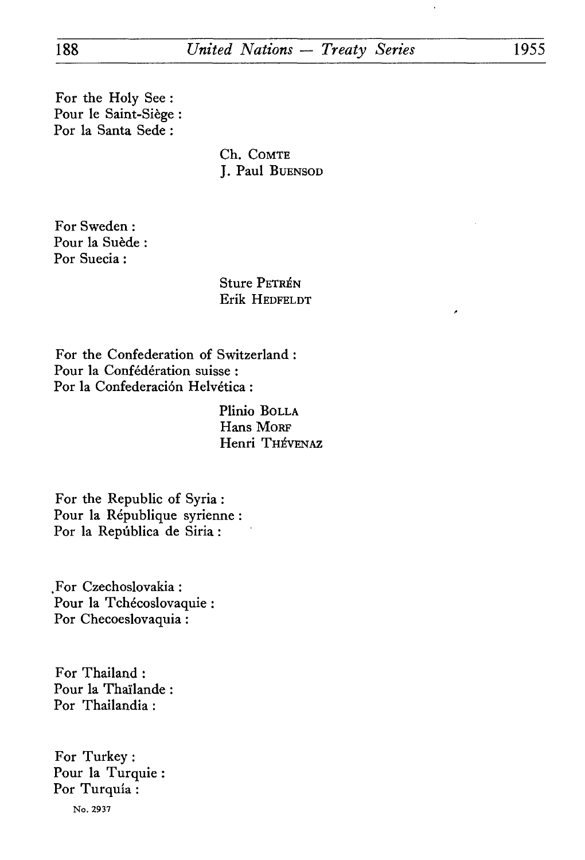For the Holy See : Pour le Saint-Siège : For la Santa Sede :

> Ch. COMTE J. Paul BUENSOD

For Sweden : Pour la Suède : For Suecia :

> Sture PETRÉN Erik HEDFELDT

For the Confederation of Switzerland : Pour la Confédération suisse : Por la Confederación Helvética :

> Plinio BOLLA Hans MORF Henri THÉVENAZ

For the Republic of Syria : Pour la République syrienne For la Repûblica de Siria :

.For Czechoslovakia : Pour la Tchécoslovaquie For Checoeslovaquia :

For Thailand : Pour la Thaïlande For Thailandia :

For Turkey : Pour la Turquie For Turquia : **No. 2937**